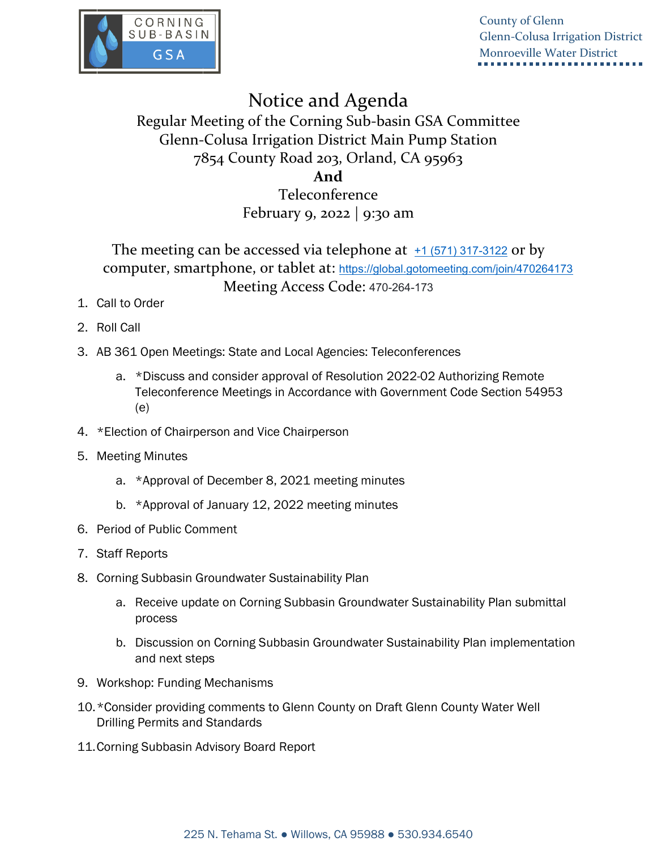

County of Glenn Glenn-Colusa Irrigation District Monroeville Water District

# Notice and Agenda

# Regular Meeting of the Corning Sub-basin GSA Committee Glenn-Colusa Irrigation District Main Pump Station 7854 County Road 203, Orland, CA 95963

### **And**

## Teleconference February 9, 2022 | 9:30 am

## The meeting can be accessed via telephone at  $\pm$ 1 (571) 317-3122 or by computer, smartphone, or tablet at: <https://global.gotomeeting.com/join/470264173> Meeting Access Code: 470-264-173

- 1. Call to Order
- 2. Roll Call
- 3. AB 361 Open Meetings: State and Local Agencies: Teleconferences
	- a. \*Discuss and consider approval of Resolution 2022-02 Authorizing Remote Teleconference Meetings in Accordance with Government Code Section 54953 (e)
- 4. \*Election of Chairperson and Vice Chairperson
- 5. Meeting Minutes
	- a. \*Approval of December 8, 2021 meeting minutes
	- b. \*Approval of January 12, 2022 meeting minutes
- 6. Period of Public Comment
- 7. Staff Reports
- 8. Corning Subbasin Groundwater Sustainability Plan
	- a. Receive update on Corning Subbasin Groundwater Sustainability Plan submittal process
	- b. Discussion on Corning Subbasin Groundwater Sustainability Plan implementation and next steps
- 9. Workshop: Funding Mechanisms
- 10.\*Consider providing comments to Glenn County on Draft Glenn County Water Well Drilling Permits and Standards
- 11.Corning Subbasin Advisory Board Report